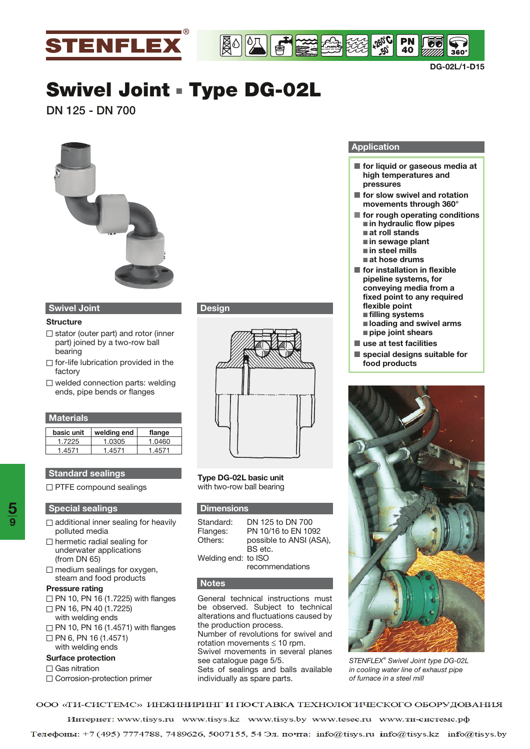

**DG-02L/1-D15**

# **Swivel Joint** - **Type DG-02L**

**DN 125 - DN 700** 



# **Swivel Joint**

#### **Structure**

- $\Box$  stator (outer part) and rotor (inner part) joined by a two-row ball bearing
- $\Box$  for-life lubrication provided in the factory
- $\square$  welded connection parts: welding ends, pipe bends or flanges

| <b>Materials</b> |             |        |
|------------------|-------------|--------|
| basic unit       | welding end | flange |
| 1.7225           | 1.0305      | 1.0460 |
| 1.4571           | 1.4571      | 1.4571 |

### **Standard sealings**

**PTFE compound sealings** 

#### **Special sealings**

- $\Box$  additional inner sealing for heavily polluted media
- $\Box$  hermetic radial sealing for underwater applications (from DN 65)
- $\Box$  medium sealings for oxygen, steam and food products

#### **Pressure rating**

- $\Box$  PN 10, PN 16 (1.7225) with flanges □ PN 16, PN 40 (1.7225)
- with welding ends
- $\Box$  PN 10, PN 16 (1.4571) with flanges
- $\Box$  PN 6, PN 16 (1.4571) with welding ends

#### **Surface protection**

#### □ Gas nitration

Corrosion-protection primer

# **Design**



**Type DG-02L basic unit** with two-row ball bearing

#### **Dimensions**

| Standard:           | DN 125 to DN 700        |
|---------------------|-------------------------|
| Flanges:            | PN 10/16 to EN 1092     |
| Others:             | possible to ANSI (ASA), |
|                     | BS etc.                 |
| Welding end: to ISO |                         |
|                     | recommendations         |
|                     |                         |

#### **Notes**

General technical instructions must be observed. Subject to technical alterations and fluctuations caused by the production process. Number of revolutions for swivel and rotation movements ≤ 10 rpm. Swivel movements in several planes see catalogue page 5/5. Sets of sealings and balls available individually as spare parts.

#### **Application**

**+260° -50° C**

**40**

- for liquid or gaseous media at **high temperatures and pressures**
- for slow swivel and rotation **movements through 360°**
- for rough operating conditions ■ in hydraulic flow pipes ■ at roll stands
	- in sewage plant
	- <u>■ in steel mills</u>
	- **∎at hose drums**
- for installation in flexible **pipeline systems, for conveying media from a fixed point to any required flexible point**
	- filling systems
	- - **loading and swivel arms** - **pipe joint shears**
- - **use at test facilities**
- special designs suitable for **food products**



*STENFLEX® Swivel Joint type DG-02L in cooling water line of exhaust pipe of furnace in a steel mill*

ООО «ТИ-СИСТЕМС» ИНЖИНИРИНГ И ПОСТАВКА ТЕХНОЛОГИЧЕСКОГО ОБОРУДОВАНИЯ

Интернет: www.tisys.ru www.tisys.kz www.tisys.by www.tesec.ru www.ти-системс.рф

Телефоны: +7 (495) 7774788, 7489626, 5007155, 54 Эл. почта: info@tisys.ru info@tisys.kz info@tisys.by